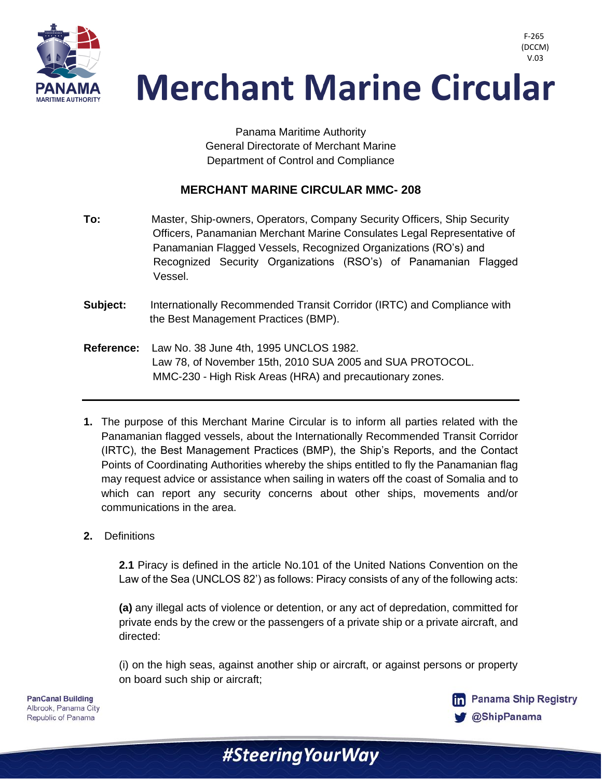

> Panama Maritime Authority General Directorate of Merchant Marine Department of Control and Compliance

### **MERCHANT MARINE CIRCULAR MMC- 208**

- **To:** Master, Ship-owners, Operators, Company Security Officers, Ship Security Officers, Panamanian Merchant Marine Consulates Legal Representative of Panamanian Flagged Vessels, Recognized Organizations (RO's) and Recognized Security Organizations (RSO's) of Panamanian Flagged Vessel.
- **Subject:** Internationally Recommended Transit Corridor (IRTC) and Compliance with the Best Management Practices (BMP).
- **Reference:** Law No. 38 June 4th, 1995 UNCLOS 1982. Law 78, of November 15th, 2010 SUA 2005 and SUA PROTOCOL. MMC-230 - High Risk Areas (HRA) and precautionary zones.
- **1.** The purpose of this Merchant Marine Circular is to inform all parties related with the Panamanian flagged vessels, about the Internationally Recommended Transit Corridor (IRTC), the Best Management Practices (BMP), the Ship's Reports, and the Contact Points of Coordinating Authorities whereby the ships entitled to fly the Panamanian flag may request advice or assistance when sailing in waters off the coast of Somalia and to which can report any security concerns about other ships, movements and/or communications in the area.
- **2.** Definitions

**2.1** Piracy is defined in the article No.101 of the United Nations Convention on the Law of the Sea (UNCLOS 82') as follows: Piracy consists of any of the following acts:

**(a)** any illegal acts of violence or detention, or any act of depredation, committed for private ends by the crew or the passengers of a private ship or a private aircraft, and directed:

(i) on the high seas, against another ship or aircraft, or against persons or property on board such ship or aircraft;

#Steering Your Way

**PanCanal Building** Albrook, Panama City Republic of Panama



F-265 (DCCM)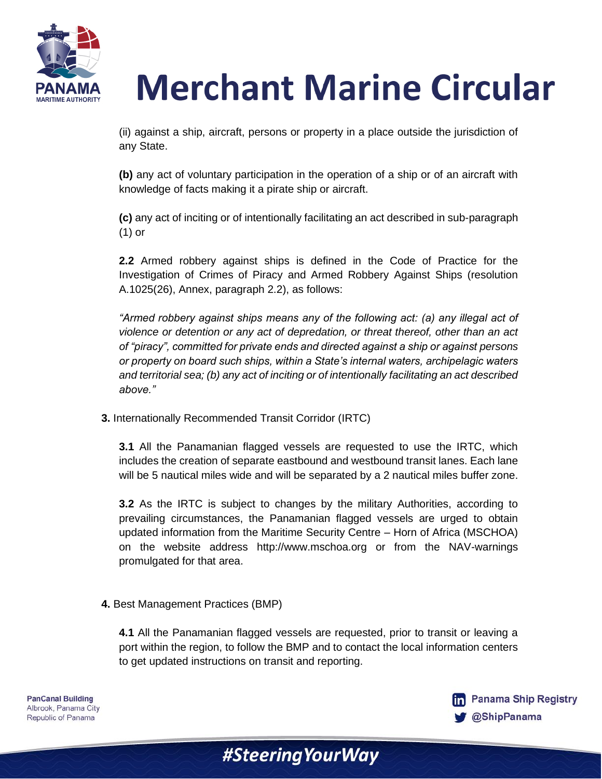

(ii) against a ship, aircraft, persons or property in a place outside the jurisdiction of any State.

**(b)** any act of voluntary participation in the operation of a ship or of an aircraft with knowledge of facts making it a pirate ship or aircraft.

**(c)** any act of inciting or of intentionally facilitating an act described in sub-paragraph (1) or

**2.2** Armed robbery against ships is defined in the Code of Practice for the Investigation of Crimes of Piracy and Armed Robbery Against Ships (resolution A.1025(26), Annex, paragraph 2.2), as follows:

*"Armed robbery against ships means any of the following act: (a) any illegal act of violence or detention or any act of depredation, or threat thereof, other than an act of "piracy", committed for private ends and directed against a ship or against persons or property on board such ships, within a State's internal waters, archipelagic waters and territorial sea; (b) any act of inciting or of intentionally facilitating an act described above."*

**3.** Internationally Recommended Transit Corridor (IRTC)

**3.1** All the Panamanian flagged vessels are requested to use the IRTC, which includes the creation of separate eastbound and westbound transit lanes. Each lane will be 5 nautical miles wide and will be separated by a 2 nautical miles buffer zone.

**3.2** As the IRTC is subject to changes by the military Authorities, according to prevailing circumstances, the Panamanian flagged vessels are urged to obtain updated information from the Maritime Security Centre – Horn of Africa (MSCHOA) on the website address http://www.mschoa.org or from the NAV-warnings promulgated for that area.

#### **4.** Best Management Practices (BMP)

**4.1** All the Panamanian flagged vessels are requested, prior to transit or leaving a port within the region, to follow the BMP and to contact the local information centers to get updated instructions on transit and reporting.

#Steering Your Way

**PanCanal Building** Albrook, Panama City Republic of Panama

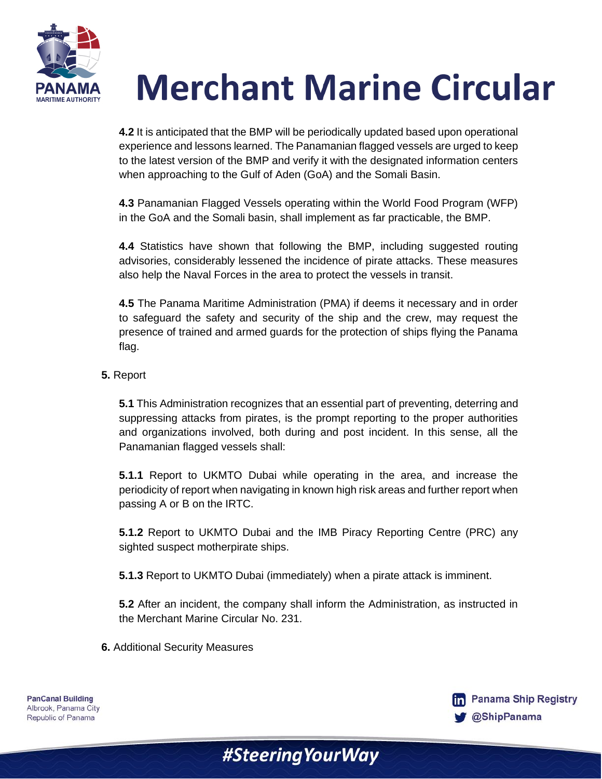

**4.2** It is anticipated that the BMP will be periodically updated based upon operational experience and lessons learned. The Panamanian flagged vessels are urged to keep to the latest version of the BMP and verify it with the designated information centers when approaching to the Gulf of Aden (GoA) and the Somali Basin.

**4.3** Panamanian Flagged Vessels operating within the World Food Program (WFP) in the GoA and the Somali basin, shall implement as far practicable, the BMP.

**4.4** Statistics have shown that following the BMP, including suggested routing advisories, considerably lessened the incidence of pirate attacks. These measures also help the Naval Forces in the area to protect the vessels in transit.

**4.5** The Panama Maritime Administration (PMA) if deems it necessary and in order to safeguard the safety and security of the ship and the crew, may request the presence of trained and armed guards for the protection of ships flying the Panama flag.

### **5.** Report

**5.1** This Administration recognizes that an essential part of preventing, deterring and suppressing attacks from pirates, is the prompt reporting to the proper authorities and organizations involved, both during and post incident. In this sense, all the Panamanian flagged vessels shall:

**5.1.1** Report to UKMTO Dubai while operating in the area, and increase the periodicity of report when navigating in known high risk areas and further report when passing A or B on the IRTC.

**5.1.2** Report to UKMTO Dubai and the IMB Piracy Reporting Centre (PRC) any sighted suspect motherpirate ships.

**5.1.3** Report to UKMTO Dubai (immediately) when a pirate attack is imminent.

#Steering Your Way

**5.2** After an incident, the company shall inform the Administration, as instructed in the Merchant Marine Circular No. 231.

**6.** Additional Security Measures

**PanCanal Building** Albrook, Panama City Republic of Panama

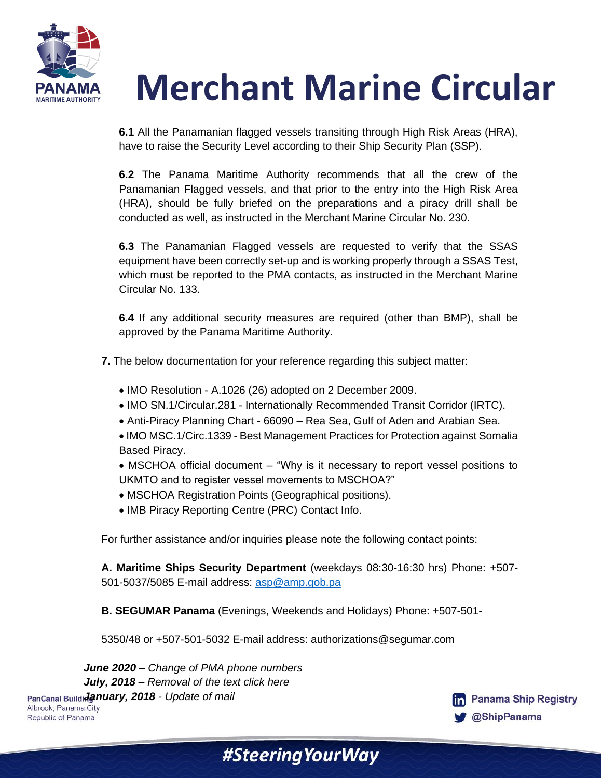

**6.1** All the Panamanian flagged vessels transiting through High Risk Areas (HRA), have to raise the Security Level according to their Ship Security Plan (SSP).

**6.2** The Panama Maritime Authority recommends that all the crew of the Panamanian Flagged vessels, and that prior to the entry into the High Risk Area (HRA), should be fully briefed on the preparations and a piracy drill shall be conducted as well, as instructed in the Merchant Marine Circular No. 230.

**6.3** The Panamanian Flagged vessels are requested to verify that the SSAS equipment have been correctly set-up and is working properly through a SSAS Test, which must be reported to the PMA contacts, as instructed in the Merchant Marine Circular No. 133.

**6.4** If any additional security measures are required (other than BMP), shall be approved by the Panama Maritime Authority.

**7.** The below documentation for your reference regarding this subject matter:

- IMO Resolution A.1026 (26) adopted on 2 December 2009.
- IMO SN.1/Circular.281 Internationally Recommended Transit Corridor (IRTC).
- Anti-Piracy Planning Chart 66090 Rea Sea, Gulf of Aden and Arabian Sea.
- IMO MSC.1/Circ.1339 Best Management Practices for Protection against Somalia Based Piracy.
- MSCHOA official document "Why is it necessary to report vessel positions to UKMTO and to register vessel movements to MSCHOA?"
- MSCHOA Registration Points (Geographical positions).
- IMB Piracy Reporting Centre (PRC) Contact Info.

For further assistance and/or inquiries please note the following contact points:

**A. Maritime Ships Security Department** (weekdays 08:30-16:30 hrs) Phone: +507- 501-5037/5085 E-mail address: [asp@amp.gob.pa](mailto:asp@amp.gob.pa)

**B. SEGUMAR Panama** (Evenings, Weekends and Holidays) Phone: +507-501-

5350/48 or +507-501-5032 E-mail address: authorizations@segumar.com

*June 2020 – Change of PMA phone numbers July, 2018 – Removal of the text click here*  **PanCanal Buildidanuary, 2018 - Update of mail Albrook, Panama City** Republic of Panama



#Steering Your Way